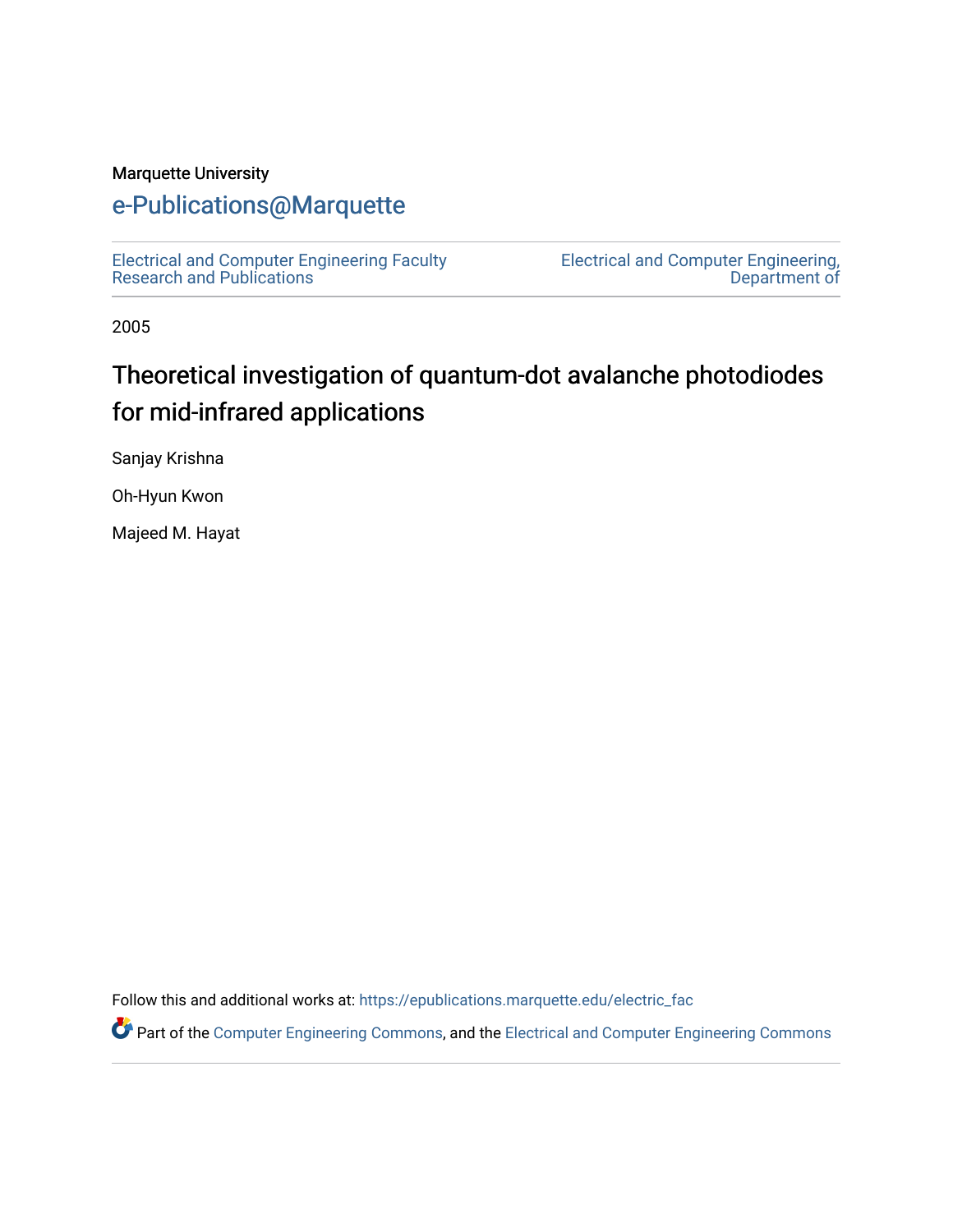#### Marquette University

## [e-Publications@Marquette](https://epublications.marquette.edu/)

[Electrical and Computer Engineering Faculty](https://epublications.marquette.edu/electric_fac) [Research and Publications](https://epublications.marquette.edu/electric_fac) 

[Electrical and Computer Engineering,](https://epublications.marquette.edu/electric)  [Department of](https://epublications.marquette.edu/electric) 

2005

# Theoretical investigation of quantum-dot avalanche photodiodes for mid-infrared applications

Sanjay Krishna

Oh-Hyun Kwon

Majeed M. Hayat

Follow this and additional works at: [https://epublications.marquette.edu/electric\\_fac](https://epublications.marquette.edu/electric_fac?utm_source=epublications.marquette.edu%2Felectric_fac%2F540&utm_medium=PDF&utm_campaign=PDFCoverPages) 

Part of the [Computer Engineering Commons,](http://network.bepress.com/hgg/discipline/258?utm_source=epublications.marquette.edu%2Felectric_fac%2F540&utm_medium=PDF&utm_campaign=PDFCoverPages) and the [Electrical and Computer Engineering Commons](http://network.bepress.com/hgg/discipline/266?utm_source=epublications.marquette.edu%2Felectric_fac%2F540&utm_medium=PDF&utm_campaign=PDFCoverPages)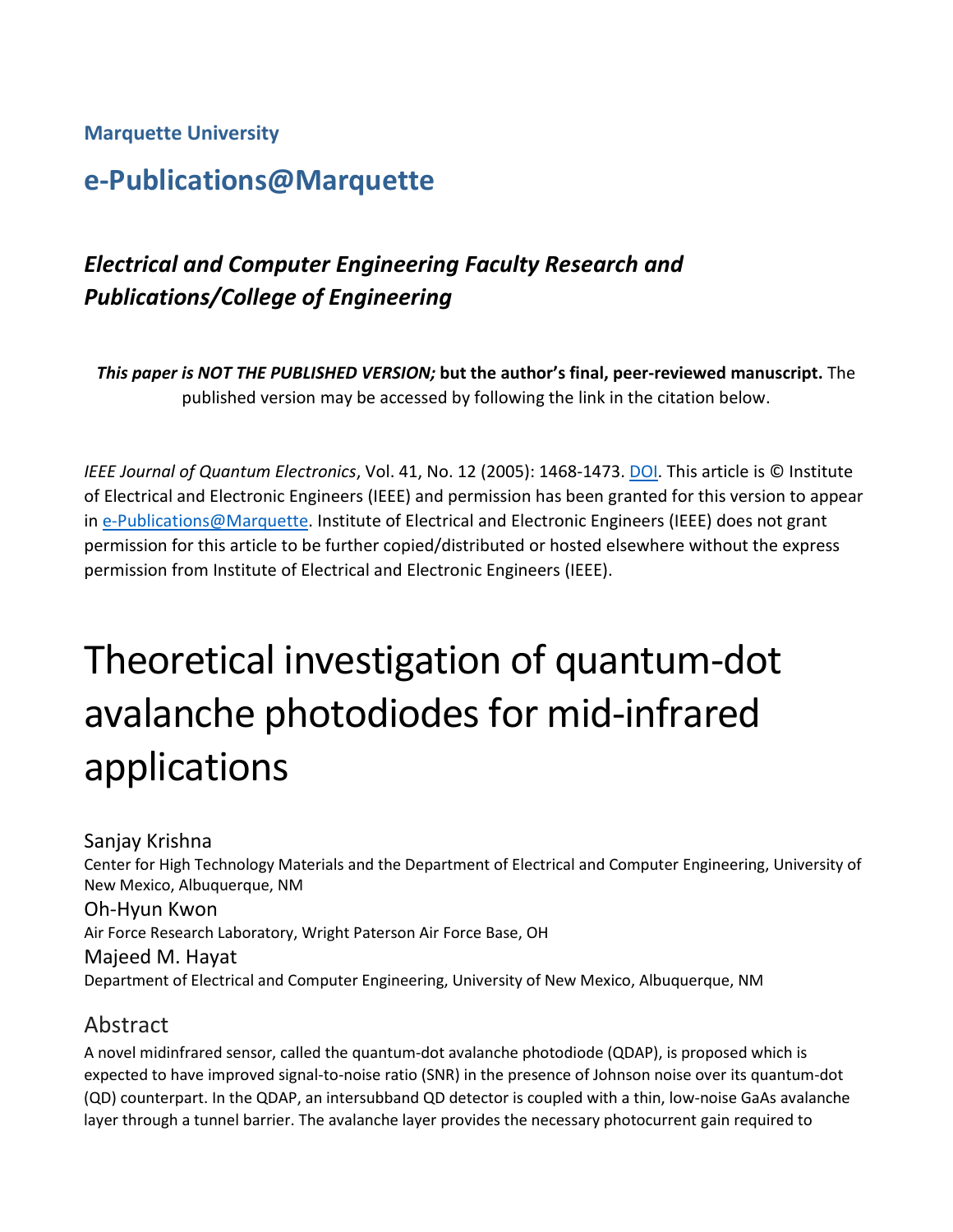**Marquette University**

## **e-Publications@Marquette**

## *Electrical and Computer Engineering Faculty Research and Publications/College of Engineering*

*This paper is NOT THE PUBLISHED VERSION;* **but the author's final, peer-reviewed manuscript.** The published version may be accessed by following the link in the citation below.

*IEEE Journal of Quantum Electronics*, Vol. 41, No. 12 (2005): 1468-1473. [DOI.](https://dx.doi.org/10.1109/JQE.2005.858791) This article is © Institute of Electrical and Electronic Engineers (IEEE) and permission has been granted for this version to appear in [e-Publications@Marquette.](http://epublications.marquette.edu/) Institute of Electrical and Electronic Engineers (IEEE) does not grant permission for this article to be further copied/distributed or hosted elsewhere without the express permission from Institute of Electrical and Electronic Engineers (IEEE).

# Theoretical investigation of quantum-dot avalanche photodiodes for mid-infrared applications

Sanjay Krishna Center for High Technology Materials and the Department of Electrical and Computer Engineering, University of New Mexico, Albuquerque, NM Oh-Hyun Kwon Air Force Research Laboratory, Wright Paterson Air Force Base, OH Majeed M. Hayat Department of Electrical and Computer Engineering, University of New Mexico, Albuquerque, NM

#### Abstract

A novel midinfrared sensor, called the quantum-dot avalanche photodiode (QDAP), is proposed which is expected to have improved signal-to-noise ratio (SNR) in the presence of Johnson noise over its quantum-dot (QD) counterpart. In the QDAP, an intersubband QD detector is coupled with a thin, low-noise GaAs avalanche layer through a tunnel barrier. The avalanche layer provides the necessary photocurrent gain required to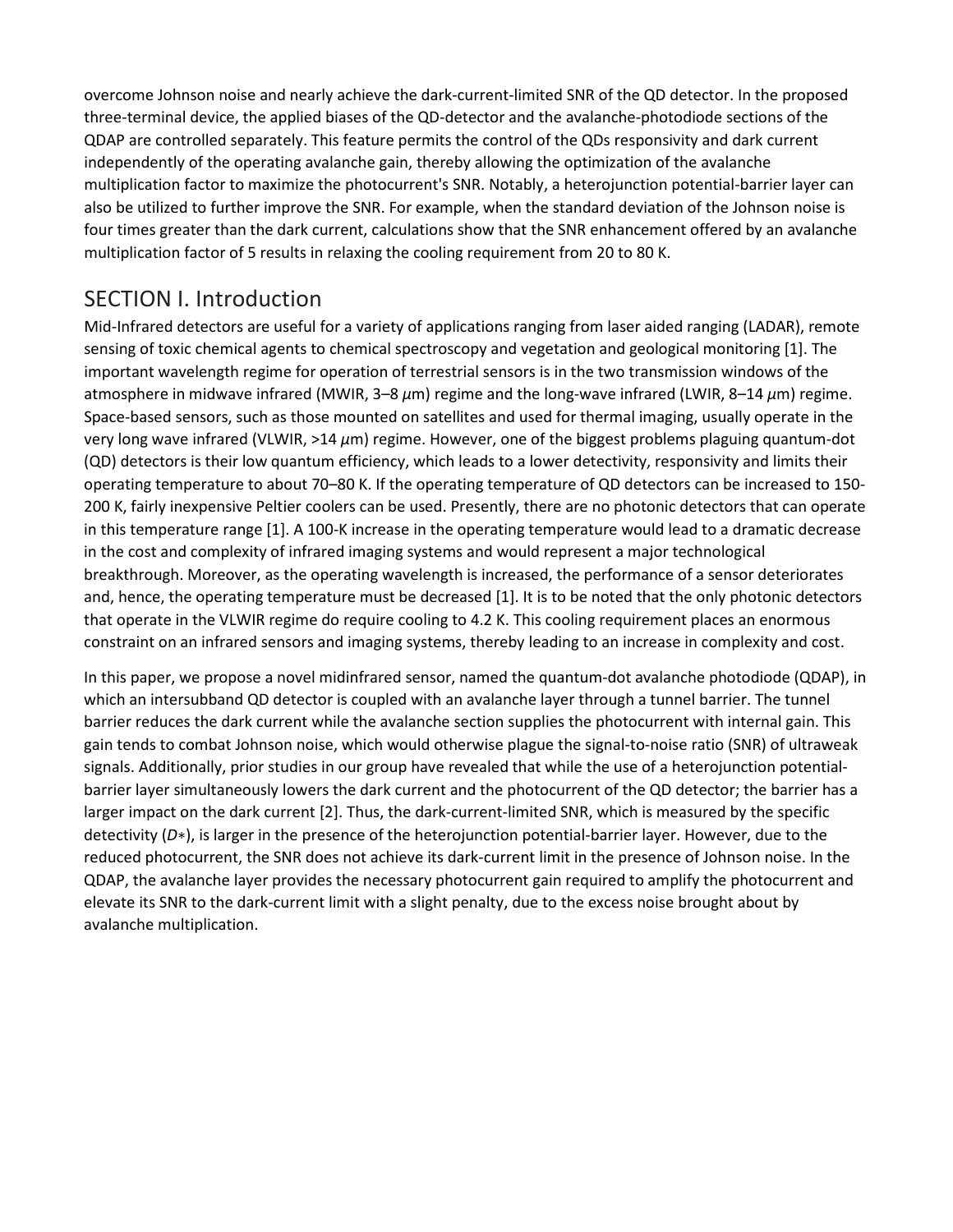overcome Johnson noise and nearly achieve the dark-current-limited SNR of the QD detector. In the proposed three-terminal device, the applied biases of the QD-detector and the avalanche-photodiode sections of the QDAP are controlled separately. This feature permits the control of the QDs responsivity and dark current independently of the operating avalanche gain, thereby allowing the optimization of the avalanche multiplication factor to maximize the photocurrent's SNR. Notably, a heterojunction potential-barrier layer can also be utilized to further improve the SNR. For example, when the standard deviation of the Johnson noise is four times greater than the dark current, calculations show that the SNR enhancement offered by an avalanche multiplication factor of 5 results in relaxing the cooling requirement from 20 to 80 K.

### SECTION I. Introduction

Mid-Infrared detectors are useful for a variety of applications ranging from laser aided ranging (LADAR), remote sensing of toxic chemical agents to chemical spectroscopy and vegetation and geological monitoring [1]. The important wavelength regime for operation of terrestrial sensors is in the two transmission windows of the atmosphere in midwave infrared (MWIR, 3–8 *μ*m) regime and the long-wave infrared (LWIR, 8–14 *μ*m) regime. Space-based sensors, such as those mounted on satellites and used for thermal imaging, usually operate in the very long wave infrared (VLWIR, >14 *μ*m) regime. However, one of the biggest problems plaguing quantum-dot (QD) detectors is their low quantum efficiency, which leads to a lower detectivity, responsivity and limits their operating temperature to about 70–80 K. If the operating temperature of QD detectors can be increased to 150- 200 K, fairly inexpensive Peltier coolers can be used. Presently, there are no photonic detectors that can operate in this temperature range [1]. A 100-K increase in the operating temperature would lead to a dramatic decrease in the cost and complexity of infrared imaging systems and would represent a major technological breakthrough. Moreover, as the operating wavelength is increased, the performance of a sensor deteriorates and, hence, the operating temperature must be decreased [1]. It is to be noted that the only photonic detectors that operate in the VLWIR regime do require cooling to 4.2 K. This cooling requirement places an enormous constraint on an infrared sensors and imaging systems, thereby leading to an increase in complexity and cost.

In this paper, we propose a novel midinfrared sensor, named the quantum-dot avalanche photodiode (QDAP), in which an intersubband QD detector is coupled with an avalanche layer through a tunnel barrier. The tunnel barrier reduces the dark current while the avalanche section supplies the photocurrent with internal gain. This gain tends to combat Johnson noise, which would otherwise plague the signal-to-noise ratio (SNR) of ultraweak signals. Additionally, prior studies in our group have revealed that while the use of a heterojunction potentialbarrier layer simultaneously lowers the dark current and the photocurrent of the QD detector; the barrier has a larger impact on the dark current [2]. Thus, the dark-current-limited SNR, which is measured by the specific detectivity (*D*∗), is larger in the presence of the heterojunction potential-barrier layer. However, due to the reduced photocurrent, the SNR does not achieve its dark-current limit in the presence of Johnson noise. In the QDAP, the avalanche layer provides the necessary photocurrent gain required to amplify the photocurrent and elevate its SNR to the dark-current limit with a slight penalty, due to the excess noise brought about by avalanche multiplication.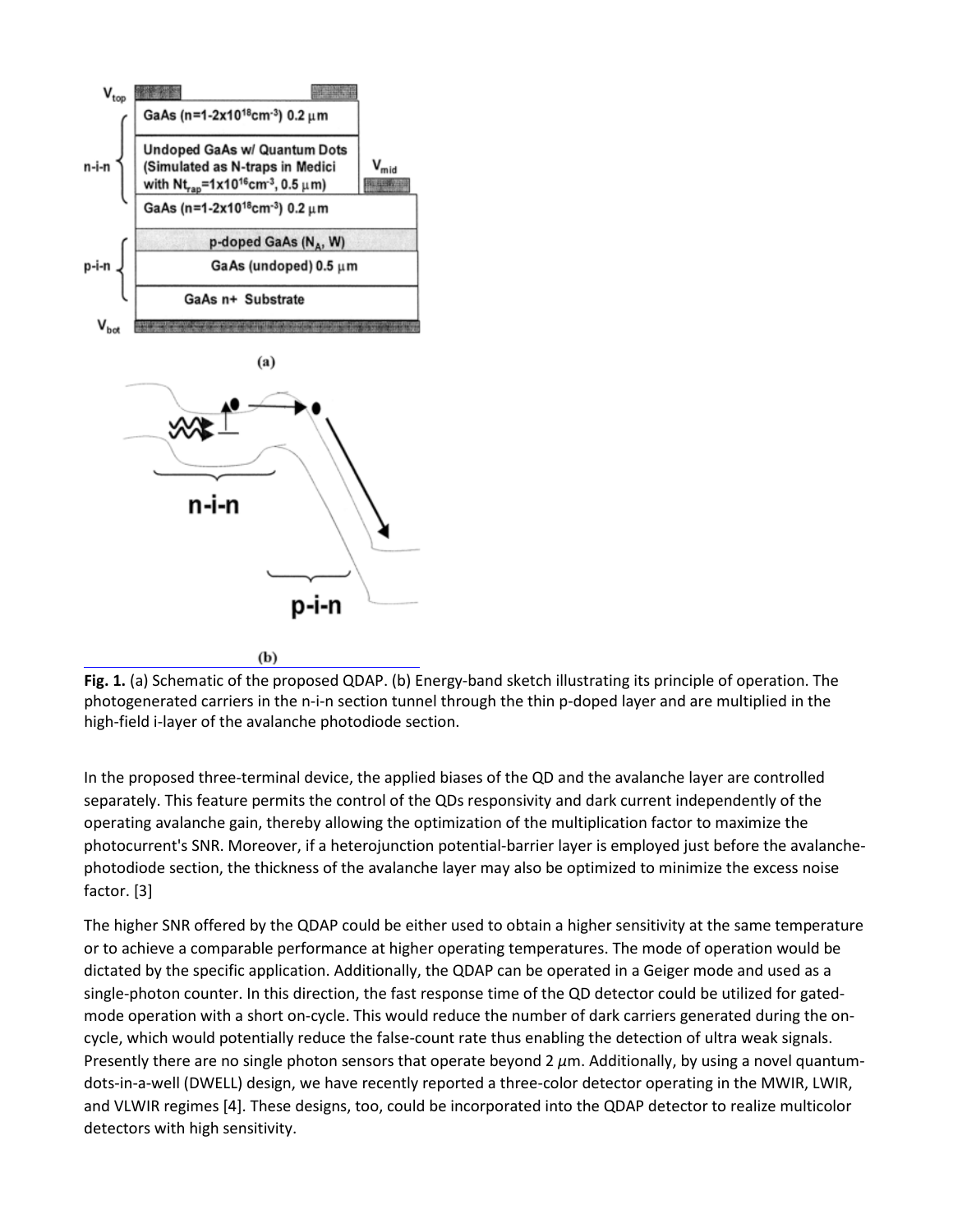

**Fig. 1.** (a) Schematic of the proposed QDAP. (b) Energy-band sketch illustrating its principle of operation. The photogenerated carriers in the n-i-n section tunnel through the thin p-doped layer and are multiplied in the high-field i-layer of the avalanche photodiode section.

In the proposed three-terminal device, the applied biases of the QD and the avalanche layer are controlled separately. This feature permits the control of the QDs responsivity and dark current independently of the operating avalanche gain, thereby allowing the optimization of the multiplication factor to maximize the photocurrent's SNR. Moreover, if a heterojunction potential-barrier layer is employed just before the avalanchephotodiode section, the thickness of the avalanche layer may also be optimized to minimize the excess noise factor. [3]

The higher SNR offered by the QDAP could be either used to obtain a higher sensitivity at the same temperature or to achieve a comparable performance at higher operating temperatures. The mode of operation would be dictated by the specific application. Additionally, the QDAP can be operated in a Geiger mode and used as a single-photon counter. In this direction, the fast response time of the QD detector could be utilized for gatedmode operation with a short on-cycle. This would reduce the number of dark carriers generated during the oncycle, which would potentially reduce the false-count rate thus enabling the detection of ultra weak signals. Presently there are no single photon sensors that operate beyond 2 *μ*m. Additionally, by using a novel quantumdots-in-a-well (DWELL) design, we have recently reported a three-color detector operating in the MWIR, LWIR, and VLWIR regimes [4]. These designs, too, could be incorporated into the QDAP detector to realize multicolor detectors with high sensitivity.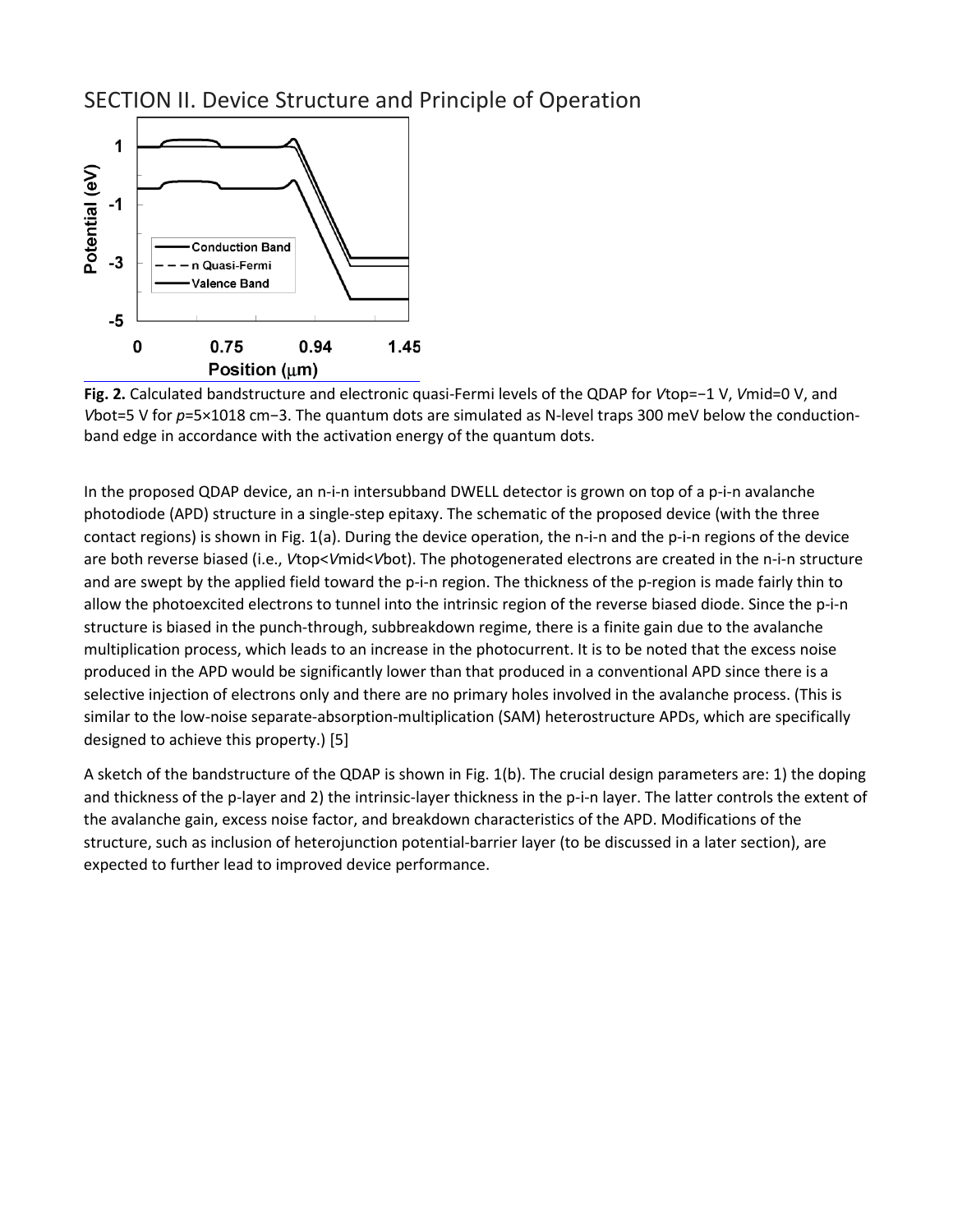#### SECTION II. Device Structure and Principle of Operation



**Fig. 2.** Calculated bandstructure and electronic quasi-Fermi levels of the QDAP for *V*top=−1 V, *V*mid=0 V, and *V*bot=5 V for *p*=5×1018 cm−3. The quantum dots are simulated as N-level traps 300 meV below the conductionband edge in accordance with the activation energy of the quantum dots.

In the proposed QDAP device, an n-i-n intersubband DWELL detector is grown on top of a p-i-n avalanche photodiode (APD) structure in a single-step epitaxy. The schematic of the proposed device (with the three contact regions) is shown in Fig. 1(a). During the device operation, the n-i-n and the p-i-n regions of the device are both reverse biased (i.e., *V*top<*V*mid<*V*bot). The photogenerated electrons are created in the n-i-n structure and are swept by the applied field toward the p-i-n region. The thickness of the p-region is made fairly thin to allow the photoexcited electrons to tunnel into the intrinsic region of the reverse biased diode. Since the p-i-n structure is biased in the punch-through, subbreakdown regime, there is a finite gain due to the avalanche multiplication process, which leads to an increase in the photocurrent. It is to be noted that the excess noise produced in the APD would be significantly lower than that produced in a conventional APD since there is a selective injection of electrons only and there are no primary holes involved in the avalanche process. (This is similar to the low-noise separate-absorption-multiplication (SAM) heterostructure APDs, which are specifically designed to achieve this property.) [5]

A sketch of the bandstructure of the QDAP is shown in Fig. 1(b). The crucial design parameters are: 1) the doping and thickness of the p-layer and 2) the intrinsic-layer thickness in the p-i-n layer. The latter controls the extent of the avalanche gain, excess noise factor, and breakdown characteristics of the APD. Modifications of the structure, such as inclusion of heterojunction potential-barrier layer (to be discussed in a later section), are expected to further lead to improved device performance.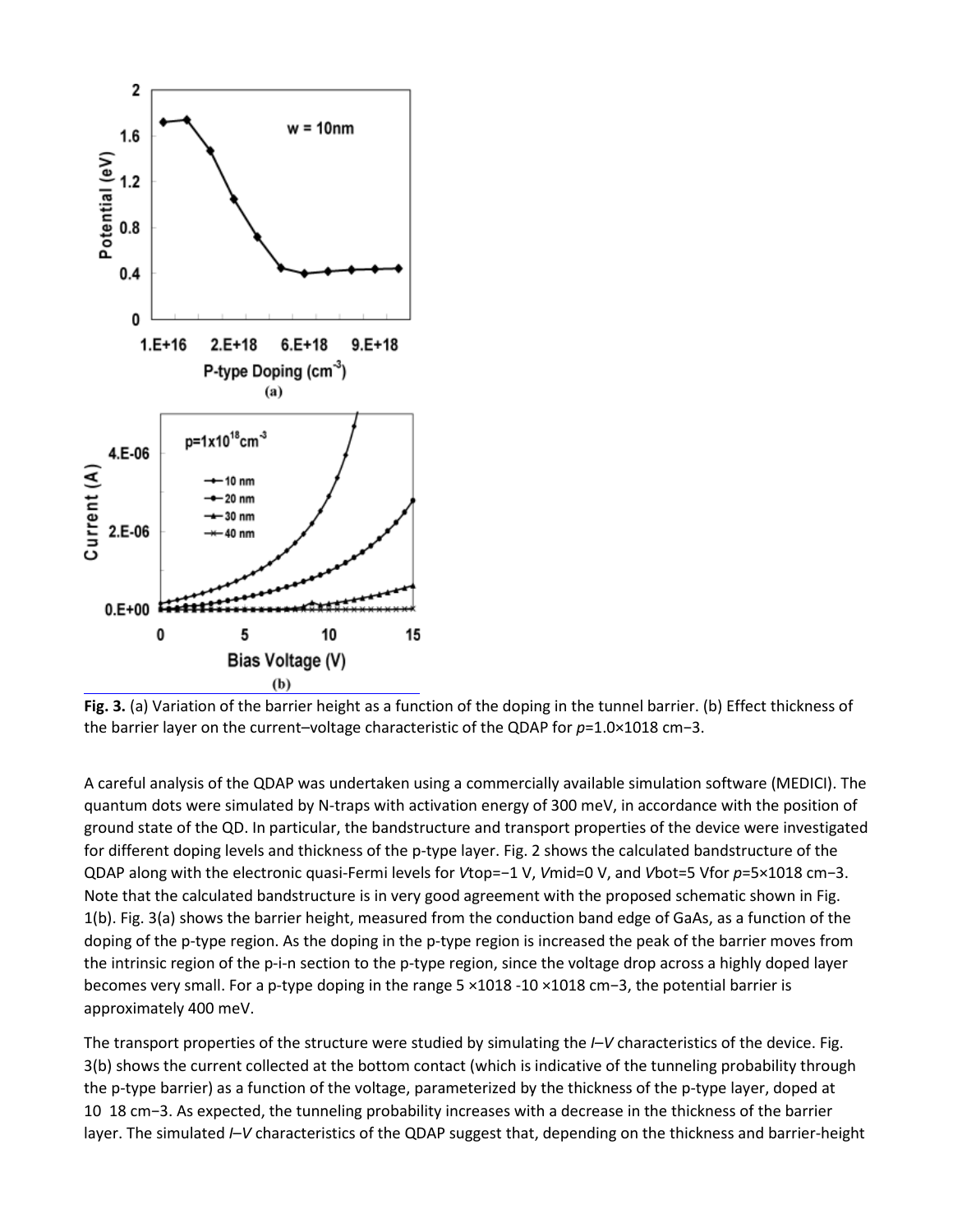

**Fig. 3.** (a) Variation of the barrier height as a function of the doping in the tunnel barrier. (b) Effect thickness of the barrier layer on the current–voltage characteristic of the QDAP for *p*=1.0×1018 cm−3.

A careful analysis of the QDAP was undertaken using a commercially available simulation software (MEDICI). The quantum dots were simulated by N-traps with activation energy of 300 meV, in accordance with the position of ground state of the QD. In particular, the bandstructure and transport properties of the device were investigated for different doping levels and thickness of the p-type layer. Fig. 2 shows the calculated bandstructure of the QDAP along with the electronic quasi-Fermi levels for *V*top=−1 V, *V*mid=0 V, and *V*bot=5 Vfor *p*=5×1018 cm−3. Note that the calculated bandstructure is in very good agreement with the proposed schematic shown in Fig. 1(b). Fig. 3(a) shows the barrier height, measured from the conduction band edge of GaAs, as a function of the doping of the p-type region. As the doping in the p-type region is increased the peak of the barrier moves from the intrinsic region of the p-i-n section to the p-type region, since the voltage drop across a highly doped layer becomes very small. For a p-type doping in the range 5 ×1018 -10 ×1018 cm−3, the potential barrier is approximately 400 meV.

The transport properties of the structure were studied by simulating the *I*–*V* characteristics of the device. Fig. 3(b) shows the current collected at the bottom contact (which is indicative of the tunneling probability through the p-type barrier) as a function of the voltage, parameterized by the thickness of the p-type layer, doped at 10 18 cm−3. As expected, the tunneling probability increases with a decrease in the thickness of the barrier layer. The simulated *I*–*V* characteristics of the QDAP suggest that, depending on the thickness and barrier-height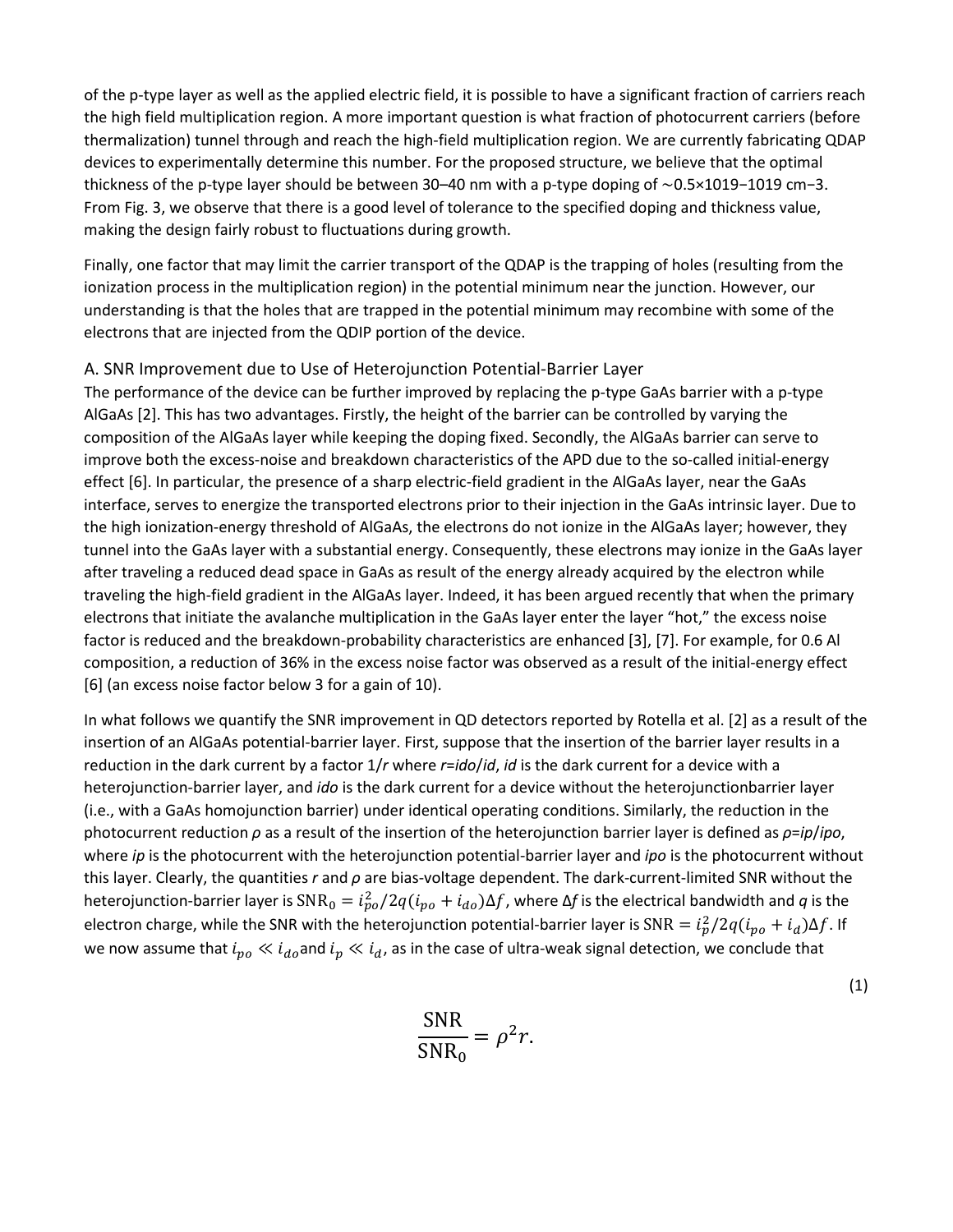of the p-type layer as well as the applied electric field, it is possible to have a significant fraction of carriers reach the high field multiplication region. A more important question is what fraction of photocurrent carriers (before thermalization) tunnel through and reach the high-field multiplication region. We are currently fabricating QDAP devices to experimentally determine this number. For the proposed structure, we believe that the optimal thickness of the p-type layer should be between 30–40 nm with a p-type doping of ∼0.5×1019−1019 cm−3. From Fig. 3, we observe that there is a good level of tolerance to the specified doping and thickness value, making the design fairly robust to fluctuations during growth.

Finally, one factor that may limit the carrier transport of the QDAP is the trapping of holes (resulting from the ionization process in the multiplication region) in the potential minimum near the junction. However, our understanding is that the holes that are trapped in the potential minimum may recombine with some of the electrons that are injected from the QDIP portion of the device.

#### A. SNR Improvement due to Use of Heterojunction Potential-Barrier Layer

The performance of the device can be further improved by replacing the p-type GaAs barrier with a p-type AlGaAs [2]. This has two advantages. Firstly, the height of the barrier can be controlled by varying the composition of the AlGaAs layer while keeping the doping fixed. Secondly, the AlGaAs barrier can serve to improve both the excess-noise and breakdown characteristics of the APD due to the so-called initial-energy effect [6]. In particular, the presence of a sharp electric-field gradient in the AlGaAs layer, near the GaAs interface, serves to energize the transported electrons prior to their injection in the GaAs intrinsic layer. Due to the high ionization-energy threshold of AlGaAs, the electrons do not ionize in the AlGaAs layer; however, they tunnel into the GaAs layer with a substantial energy. Consequently, these electrons may ionize in the GaAs layer after traveling a reduced dead space in GaAs as result of the energy already acquired by the electron while traveling the high-field gradient in the AlGaAs layer. Indeed, it has been argued recently that when the primary electrons that initiate the avalanche multiplication in the GaAs layer enter the layer "hot," the excess noise factor is reduced and the breakdown-probability characteristics are enhanced [3], [7]. For example, for 0.6 Al composition, a reduction of 36% in the excess noise factor was observed as a result of the initial-energy effect [6] (an excess noise factor below 3 for a gain of 10).

In what follows we quantify the SNR improvement in QD detectors reported by Rotella et al. [2] as a result of the insertion of an AlGaAs potential-barrier layer. First, suppose that the insertion of the barrier layer results in a reduction in the dark current by a factor 1/*r* where *r*=*ido*/*id*, *id* is the dark current for a device with a heterojunction-barrier layer, and *ido* is the dark current for a device without the heterojunctionbarrier layer (i.e., with a GaAs homojunction barrier) under identical operating conditions. Similarly, the reduction in the photocurrent reduction *ρ* as a result of the insertion of the heterojunction barrier layer is defined as *ρ*=*ip*/*ipo*, where *ip* is the photocurrent with the heterojunction potential-barrier layer and *ipo* is the photocurrent without this layer. Clearly, the quantities *r* and *ρ* are bias-voltage dependent. The dark-current-limited SNR without the heterojunction-barrier layer is  $\text{SNR}_0 = i_{po}^2/2q(i_{po}+i_{do})\Delta f$ , where  $\Delta f$  is the electrical bandwidth and  $q$  is the electron charge, while the SNR with the heterojunction potential-barrier layer is  ${\rm SNR}=i_p^2/2q(i_{po}+i_d)\Delta f$ . If we now assume that  $i_{po} \ll i_{do}$  and  $i_p \ll i_d$ , as in the case of ultra-weak signal detection, we conclude that

$$
\frac{\text{SNR}}{\text{SNR}_0} = \rho^2 r.
$$

(1)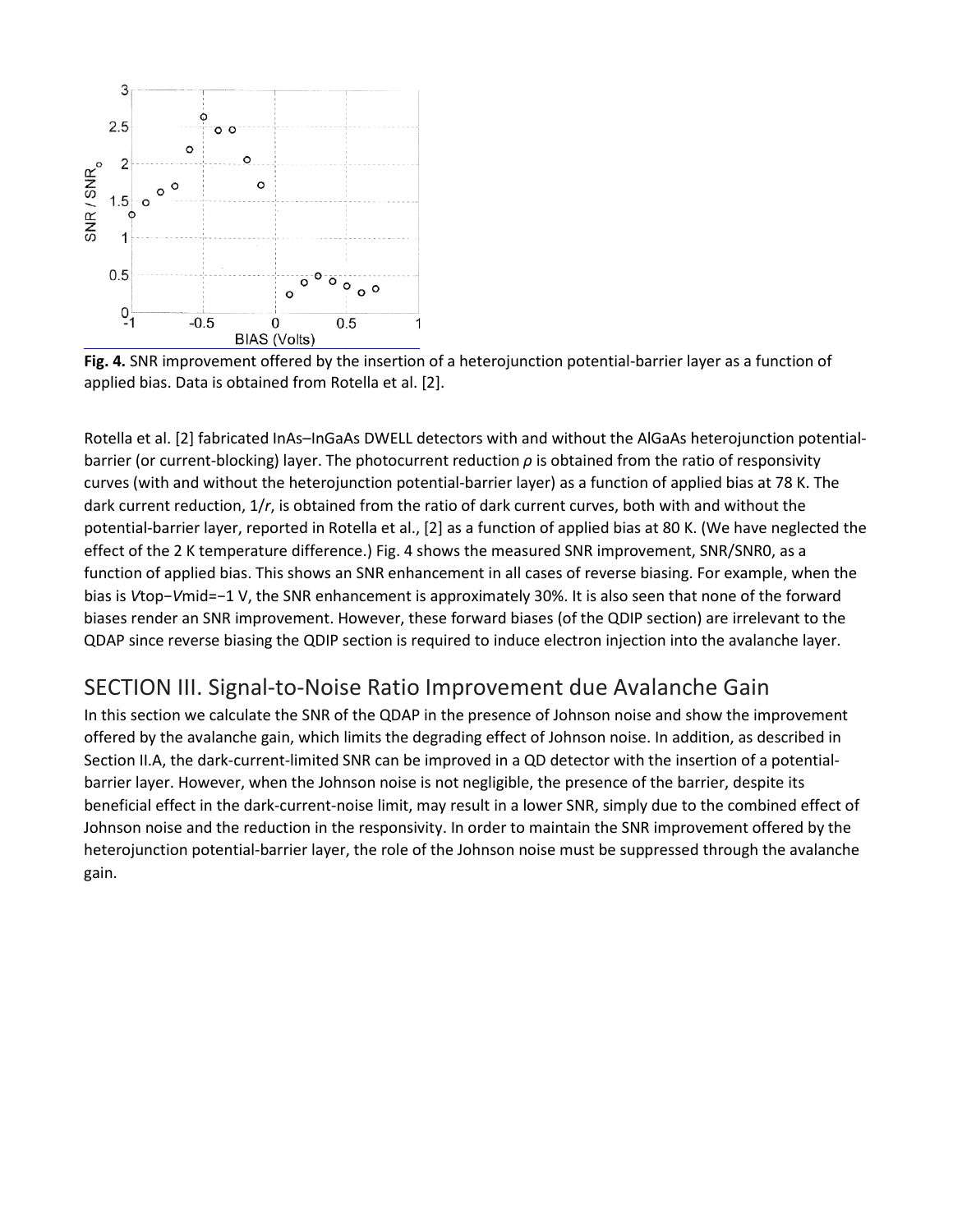

**Fig. 4.** SNR improvement offered by the insertion of a heterojunction potential-barrier layer as a function of applied bias. Data is obtained from Rotella et al. [2].

Rotella et al. [2] fabricated InAs–InGaAs DWELL detectors with and without the AlGaAs heterojunction potentialbarrier (or current-blocking) layer. The photocurrent reduction *ρ* is obtained from the ratio of responsivity curves (with and without the heterojunction potential-barrier layer) as a function of applied bias at 78 K. The dark current reduction, 1/*r*, is obtained from the ratio of dark current curves, both with and without the potential-barrier layer, reported in Rotella et al., [2] as a function of applied bias at 80 K. (We have neglected the effect of the 2 K temperature difference.) Fig. 4 shows the measured SNR improvement, SNR/SNR0, as a function of applied bias. This shows an SNR enhancement in all cases of reverse biasing. For example, when the bias is *V*top−*V*mid=−1 V, the SNR enhancement is approximately 30%. It is also seen that none of the forward biases render an SNR improvement. However, these forward biases (of the QDIP section) are irrelevant to the QDAP since reverse biasing the QDIP section is required to induce electron injection into the avalanche layer.

### SECTION III. Signal-to-Noise Ratio Improvement due Avalanche Gain

In this section we calculate the SNR of the QDAP in the presence of Johnson noise and show the improvement offered by the avalanche gain, which limits the degrading effect of Johnson noise. In addition, as described in Section II.A, the dark-current-limited SNR can be improved in a QD detector with the insertion of a potentialbarrier layer. However, when the Johnson noise is not negligible, the presence of the barrier, despite its beneficial effect in the dark-current-noise limit, may result in a lower SNR, simply due to the combined effect of Johnson noise and the reduction in the responsivity. In order to maintain the SNR improvement offered by the heterojunction potential-barrier layer, the role of the Johnson noise must be suppressed through the avalanche gain.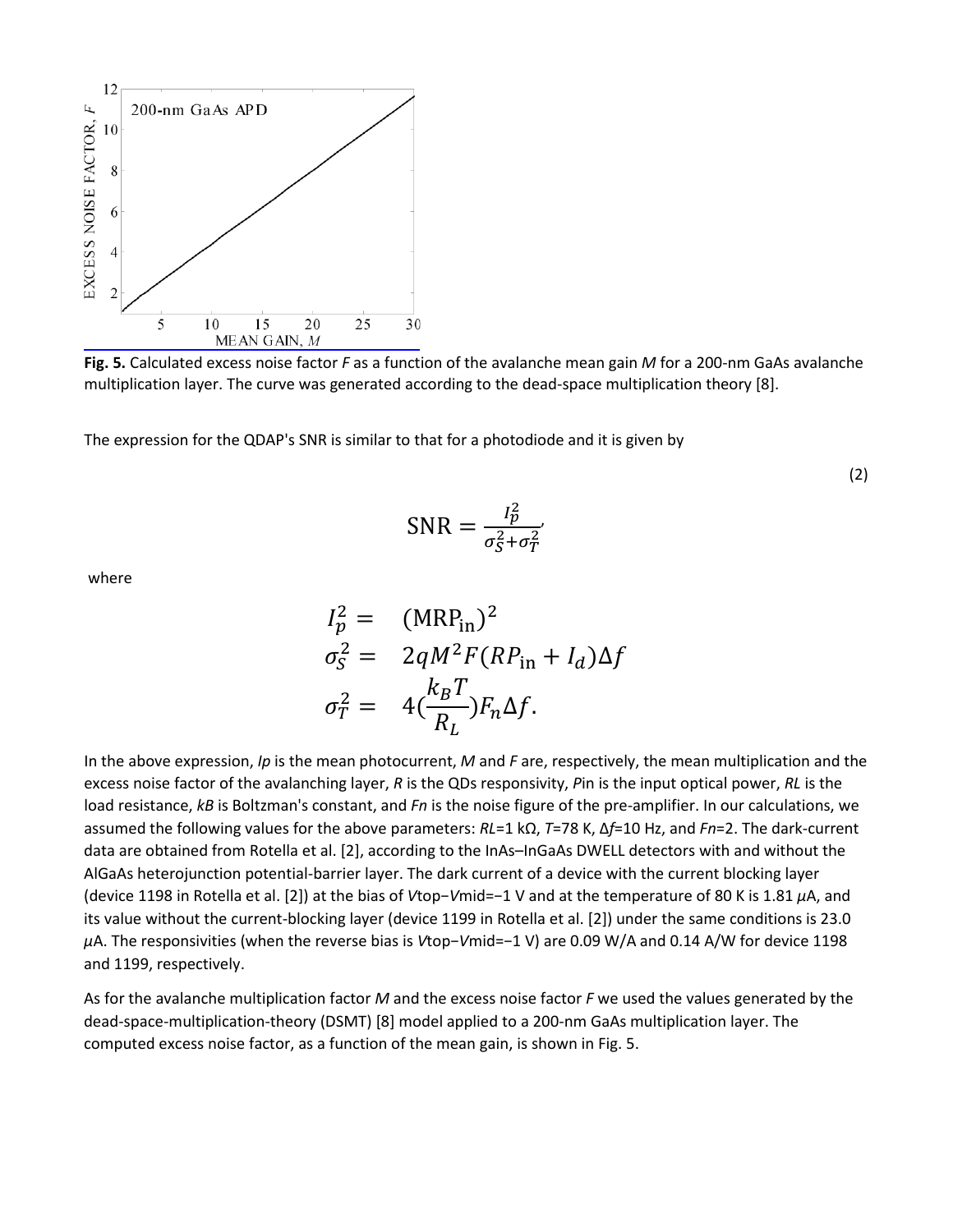

**Fig. 5.** Calculated excess noise factor *F* as a function of the avalanche mean gain *M* for a 200-nm GaAs avalanche multiplication layer. The curve was generated according to the dead-space multiplication theory [8].

The expression for the QDAP's SNR is similar to that for a photodiode and it is given by

(2)

$$
SNR = \frac{I_p^2}{\sigma_S^2 + \sigma_T^2}
$$

where

$$
I_p^2 = (MRP_{in})^2
$$
  
\n
$$
\sigma_S^2 = 2qM^2F(RP_{in} + I_d)\Delta f
$$
  
\n
$$
\sigma_T^2 = 4(\frac{k_B T}{R_L})F_n\Delta f.
$$

In the above expression, *Ip* is the mean photocurrent, *M* and *F* are, respectively, the mean multiplication and the excess noise factor of the avalanching layer, *R* is the QDs responsivity, *P*in is the input optical power, *RL* is the load resistance, *kB* is Boltzman's constant, and *Fn* is the noise figure of the pre-amplifier. In our calculations, we assumed the following values for the above parameters: *RL*=1 kΩ, *T*=78 K, Δ*f*=10 Hz, and *Fn*=2. The dark-current data are obtained from Rotella et al. [2], according to the InAs–InGaAs DWELL detectors with and without the AlGaAs heterojunction potential-barrier layer. The dark current of a device with the current blocking layer (device 1198 in Rotella et al. [2]) at the bias of *V*top−*V*mid=−1 V and at the temperature of 80 K is 1.81 *μ*A, and its value without the current-blocking layer (device 1199 in Rotella et al. [2]) under the same conditions is 23.0 *μ*A. The responsivities (when the reverse bias is *V*top−*V*mid=−1 V) are 0.09 W/A and 0.14 A/W for device 1198 and 1199, respectively.

As for the avalanche multiplication factor *M* and the excess noise factor *F* we used the values generated by the dead-space-multiplication-theory (DSMT) [8] model applied to a 200-nm GaAs multiplication layer. The computed excess noise factor, as a function of the mean gain, is shown in Fig. 5.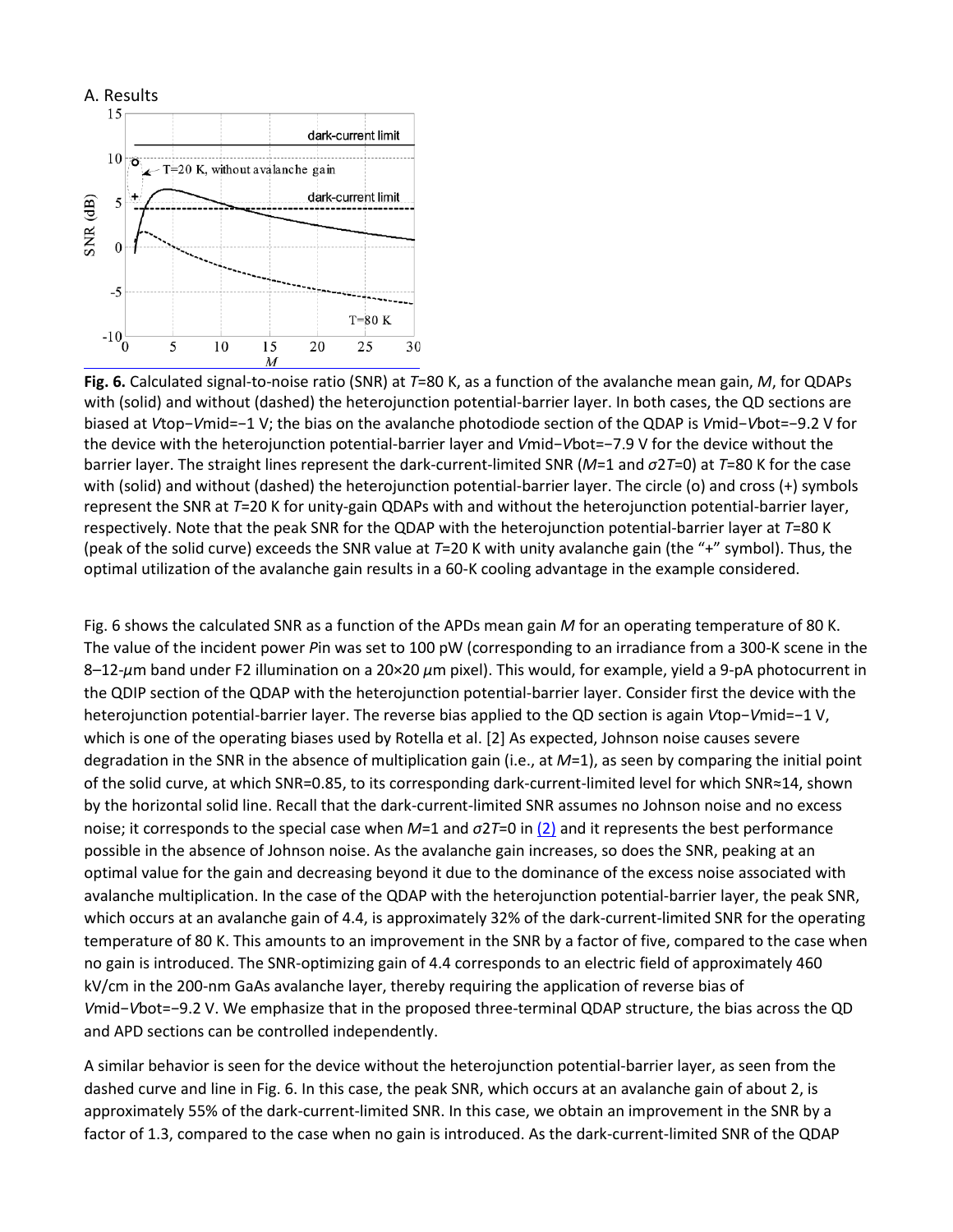

**Fig. 6.** Calculated signal-to-noise ratio (SNR) at *T*=80 K, as a function of the avalanche mean gain, *M*, for QDAPs with (solid) and without (dashed) the heterojunction potential-barrier layer. In both cases, the QD sections are biased at *V*top−*V*mid=−1 V; the bias on the avalanche photodiode section of the QDAP is *V*mid−*V*bot=−9.2 V for the device with the heterojunction potential-barrier layer and *V*mid−*V*bot=−7.9 V for the device without the barrier layer. The straight lines represent the dark-current-limited SNR (*M*=1 and *σ*2*T*=0) at *T*=80 K for the case with (solid) and without (dashed) the heterojunction potential-barrier layer. The circle (o) and cross (+) symbols represent the SNR at *T*=20 K for unity-gain QDAPs with and without the heterojunction potential-barrier layer, respectively. Note that the peak SNR for the QDAP with the heterojunction potential-barrier layer at *T*=80 K (peak of the solid curve) exceeds the SNR value at *T*=20 K with unity avalanche gain (the "+" symbol). Thus, the optimal utilization of the avalanche gain results in a 60-K cooling advantage in the example considered.

Fig. 6 shows the calculated SNR as a function of the APDs mean gain *M* for an operating temperature of 80 K. The value of the incident power *P*in was set to 100 pW (corresponding to an irradiance from a 300-K scene in the 8–12-*μ*m band under F2 illumination on a 20×20 *μ*m pixel). This would, for example, yield a 9-pA photocurrent in the QDIP section of the QDAP with the heterojunction potential-barrier layer. Consider first the device with the heterojunction potential-barrier layer. The reverse bias applied to the QD section is again *V*top−*V*mid=−1 V, which is one of the operating biases used by Rotella et al. [2] As expected, Johnson noise causes severe degradation in the SNR in the absence of multiplication gain (i.e., at *M*=1), as seen by comparing the initial point of the solid curve, at which SNR=0.85, to its corresponding dark-current-limited level for which SNR≈14, shown by the horizontal solid line. Recall that the dark-current-limited SNR assumes no Johnson noise and no excess noise; it corresponds to the special case when *M*=1 and *σ*2*T*=0 in [\(2\)](https://ieeexplore.ieee.org/document/1546270#deqn2) and it represents the best performance possible in the absence of Johnson noise. As the avalanche gain increases, so does the SNR, peaking at an optimal value for the gain and decreasing beyond it due to the dominance of the excess noise associated with avalanche multiplication. In the case of the QDAP with the heterojunction potential-barrier layer, the peak SNR, which occurs at an avalanche gain of 4.4, is approximately 32% of the dark-current-limited SNR for the operating temperature of 80 K. This amounts to an improvement in the SNR by a factor of five, compared to the case when no gain is introduced. The SNR-optimizing gain of 4.4 corresponds to an electric field of approximately 460 kV/cm in the 200-nm GaAs avalanche layer, thereby requiring the application of reverse bias of *V*mid−*V*bot=−9.2 V. We emphasize that in the proposed three-terminal QDAP structure, the bias across the QD and APD sections can be controlled independently.

A similar behavior is seen for the device without the heterojunction potential-barrier layer, as seen from the dashed curve and line in Fig. 6. In this case, the peak SNR, which occurs at an avalanche gain of about 2, is approximately 55% of the dark-current-limited SNR. In this case, we obtain an improvement in the SNR by a factor of 1.3, compared to the case when no gain is introduced. As the dark-current-limited SNR of the QDAP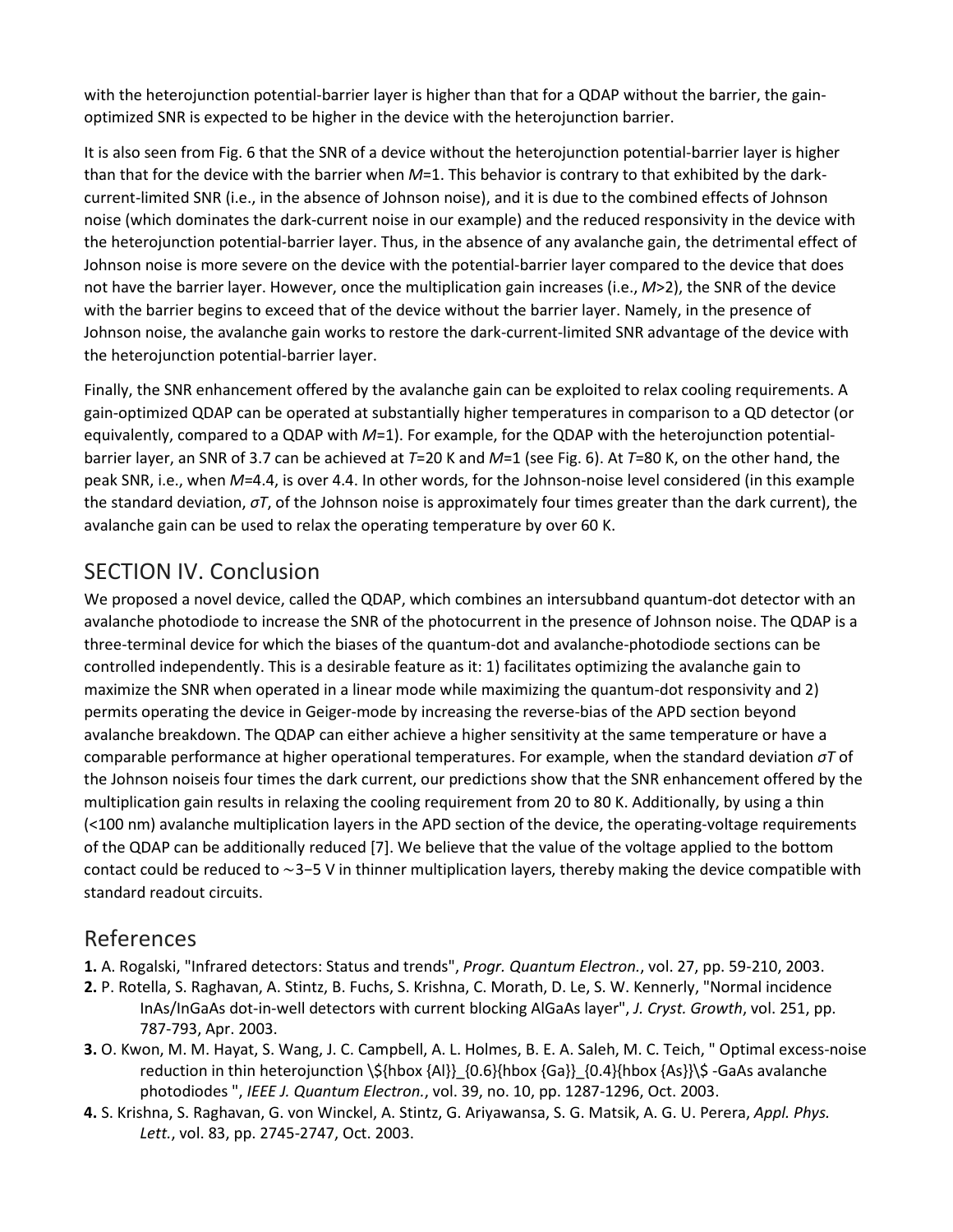with the heterojunction potential-barrier layer is higher than that for a QDAP without the barrier, the gainoptimized SNR is expected to be higher in the device with the heterojunction barrier.

It is also seen from Fig. 6 that the SNR of a device without the heterojunction potential-barrier layer is higher than that for the device with the barrier when *M*=1. This behavior is contrary to that exhibited by the darkcurrent-limited SNR (i.e., in the absence of Johnson noise), and it is due to the combined effects of Johnson noise (which dominates the dark-current noise in our example) and the reduced responsivity in the device with the heterojunction potential-barrier layer. Thus, in the absence of any avalanche gain, the detrimental effect of Johnson noise is more severe on the device with the potential-barrier layer compared to the device that does not have the barrier layer. However, once the multiplication gain increases (i.e., *M*>2), the SNR of the device with the barrier begins to exceed that of the device without the barrier layer. Namely, in the presence of Johnson noise, the avalanche gain works to restore the dark-current-limited SNR advantage of the device with the heterojunction potential-barrier layer.

Finally, the SNR enhancement offered by the avalanche gain can be exploited to relax cooling requirements. A gain-optimized QDAP can be operated at substantially higher temperatures in comparison to a QD detector (or equivalently, compared to a QDAP with *M*=1). For example, for the QDAP with the heterojunction potentialbarrier layer, an SNR of 3.7 can be achieved at *T*=20 K and *M*=1 (see Fig. 6). At *T*=80 K, on the other hand, the peak SNR, i.e., when *M*=4.4, is over 4.4. In other words, for the Johnson-noise level considered (in this example the standard deviation, *σT*, of the Johnson noise is approximately four times greater than the dark current), the avalanche gain can be used to relax the operating temperature by over 60 K.

### SECTION IV. Conclusion

We proposed a novel device, called the QDAP, which combines an intersubband quantum-dot detector with an avalanche photodiode to increase the SNR of the photocurrent in the presence of Johnson noise. The QDAP is a three-terminal device for which the biases of the quantum-dot and avalanche-photodiode sections can be controlled independently. This is a desirable feature as it: 1) facilitates optimizing the avalanche gain to maximize the SNR when operated in a linear mode while maximizing the quantum-dot responsivity and 2) permits operating the device in Geiger-mode by increasing the reverse-bias of the APD section beyond avalanche breakdown. The QDAP can either achieve a higher sensitivity at the same temperature or have a comparable performance at higher operational temperatures. For example, when the standard deviation *σT* of the Johnson noiseis four times the dark current, our predictions show that the SNR enhancement offered by the multiplication gain results in relaxing the cooling requirement from 20 to 80 K. Additionally, by using a thin (<100 nm) avalanche multiplication layers in the APD section of the device, the operating-voltage requirements of the QDAP can be additionally reduced [7]. We believe that the value of the voltage applied to the bottom contact could be reduced to ∼3−5 V in thinner multiplication layers, thereby making the device compatible with standard readout circuits.

## References

**1.** A. Rogalski, "Infrared detectors: Status and trends", *Progr. Quantum Electron.*, vol. 27, pp. 59-210, 2003.

- **2.** P. Rotella, S. Raghavan, A. Stintz, B. Fuchs, S. Krishna, C. Morath, D. Le, S. W. Kennerly, "Normal incidence InAs/InGaAs dot-in-well detectors with current blocking AlGaAs layer", *J. Cryst. Growth*, vol. 251, pp. 787-793, Apr. 2003.
- **3.** O. Kwon, M. M. Hayat, S. Wang, J. C. Campbell, A. L. Holmes, B. E. A. Saleh, M. C. Teich, " Optimal excess-noise reduction in thin heterojunction \\${hbox {Al}}\_{0.6}{hbox {Ga}}\_{0.4}{hbox {As}}\\$ -GaAs avalanche photodiodes ", *IEEE J. Quantum Electron.*, vol. 39, no. 10, pp. 1287-1296, Oct. 2003.
- **4.** S. Krishna, S. Raghavan, G. von Winckel, A. Stintz, G. Ariyawansa, S. G. Matsik, A. G. U. Perera, *Appl. Phys. Lett.*, vol. 83, pp. 2745-2747, Oct. 2003.